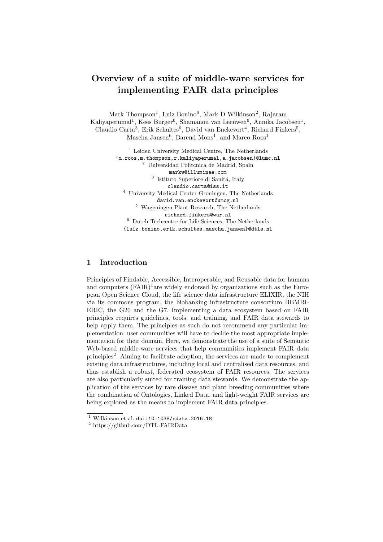## Overview of a suite of middle-ware services for implementing FAIR data principles

Mark Thompson<sup>1</sup>, Luiz Bonino<sup>6</sup>, Mark D Wilkinson<sup>2</sup>, Rajaram Kaliyaperumal<sup>1</sup>, Kees Burger<sup>6</sup>, Shamanou van Leeuwen<sup>6</sup>, Annika Jacobsen<sup>1</sup>, Claudio Carta<sup>3</sup>, Erik Schultes<sup>6</sup>, David van Enckevort<sup>4</sup>, Richard Finkers<sup>5</sup>, Mascha Jansen<sup>6</sup>, Barend Mons<sup>1</sup>, and Marco  $\text{Roos}^1$ 

> $^{\rm 1}$  Leiden University Medical Centre, The Netherlands {m.roos,m.thompson,r.kaliyaperumal,a.jacobsen}@lumc.nl <sup>2</sup> Universidad Politcnica de Madrid, Spain markw@illuminae.com <sup>3</sup> Istituto Superiore di Sanitá, Italy claudio.carta@iss.it <sup>4</sup> University Medical Center Groningen, The Netherlands david.van.enckevort@umcg.nl <sup>5</sup> Wageningen Plant Research, The Netherlands richard.finkers@wur.nl  $^6\,$  Dutch Techcentre for Life Sciences, The Netherlands {luiz.bonino,erik.schultes,mascha.jansen}@dtls.nl

## 1 Introduction

Principles of Findable, Accessible, Interoperable, and Reusable data for humans and computers  $(FAIR)^1$ are widely endorsed by organizations such as the European Open Science Cloud, the life science data infrastructure ELIXIR, the NIH via its commons program, the biobanking infrastructure consortium BBMRI-ERIC, the G20 and the G7. Implementing a data ecosystem based on FAIR principles requires guidelines, tools, and training, and FAIR data stewards to help apply them. The principles as such do not recommend any particular implementation: user communities will have to decide the most appropriate implementation for their domain. Here, we demonstrate the use of a suite of Semantic Web-based middle-ware services that help communities implement FAIR data principles<sup>2</sup>. Aiming to facilitate adoption, the services are made to complement existing data infrastructures, including local and centralised data resources, and thus establish a robust, federated ecosystem of FAIR resources. The services are also particularly suited for training data stewards. We demonstrate the application of the services by rare disease and plant breeding communities where the combination of Ontologies, Linked Data, and light-weight FAIR services are being explored as the means to implement FAIR data principles.

 $1$  Wilkinson et al. doi:10.1038/sdata.2016.18

 $^2$ https://github.com/DTL-FAIRData